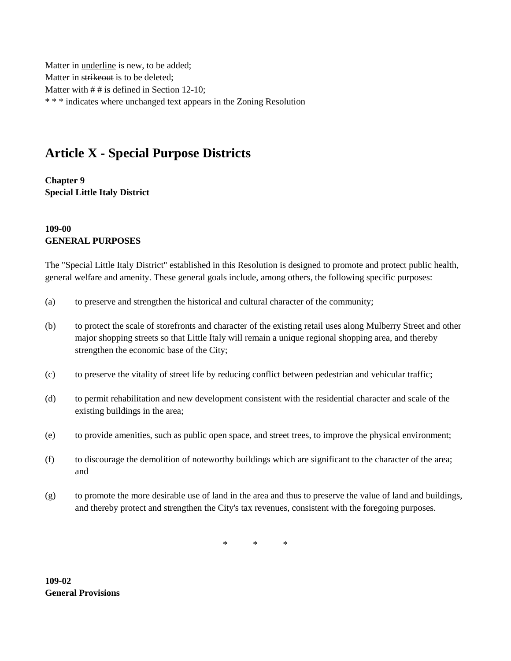Matter in underline is new, to be added; Matter in strikeout is to be deleted; Matter with  $# #$  is defined in Section 12-10; \* \* \* indicates where unchanged text appears in the Zoning Resolution

# **Article X - Special Purpose Districts**

**Chapter 9 Special Little Italy District**

#### **109-00 GENERAL PURPOSES**

The "Special Little Italy District" established in this Resolution is designed to promote and protect public health, general welfare and amenity. These general goals include, among others, the following specific purposes:

- (a) to preserve and strengthen the historical and cultural character of the community;
- (b) to protect the scale of storefronts and character of the existing retail uses along Mulberry Street and other major shopping streets so that Little Italy will remain a unique regional shopping area, and thereby strengthen the economic base of the City;
- (c) to preserve the vitality of street life by reducing conflict between pedestrian and vehicular traffic;
- (d) to permit rehabilitation and new development consistent with the residential character and scale of the existing buildings in the area;
- (e) to provide amenities, such as public open space, and street trees, to improve the physical environment;
- (f) to discourage the demolition of noteworthy buildings which are significant to the character of the area; and
- (g) to promote the more desirable use of land in the area and thus to preserve the value of land and buildings, and thereby protect and strengthen the City's tax revenues, consistent with the foregoing purposes.

\* \* \*

**109-02 General Provisions**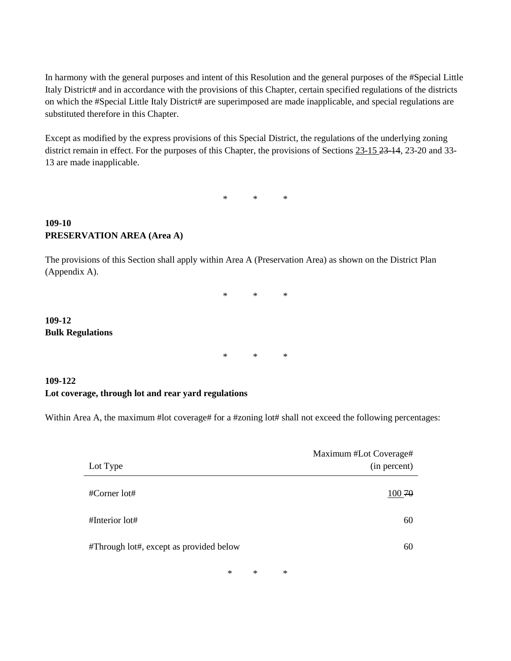In harmony with the general purposes and intent of this Resolution and the general purposes of the #Special Little Italy District# and in accordance with the provisions of this Chapter, certain specified regulations of the districts on which the #Special Little Italy District# are superimposed are made inapplicable, and special regulations are substituted therefore in this Chapter.

Except as modified by the express provisions of this Special District, the regulations of the underlying zoning district remain in effect. For the purposes of this Chapter, the provisions of Sections 23-15 23-14, 23-20 and 33-13 are made inapplicable.

\* \* \*

#### **109-10 PRESERVATION AREA (Area A)**

**109-12**

**Bulk Regulations**

The provisions of this Section shall apply within Area A (Preservation Area) as shown on the District Plan (Appendix A).

> \* \* \* \* \* \*

### **109-122 Lot coverage, through lot and rear yard regulations**

Within Area A, the maximum #lot coverage# for a #zoning lot# shall not exceed the following percentages:

| Lot Type                                | Maximum #Lot Coverage#<br>(in percent) |
|-----------------------------------------|----------------------------------------|
| $\#$ Corner lot $\#$                    | 100 70                                 |
| $#$ Interior lot $#$                    | 60                                     |
| #Through lot#, except as provided below | 60                                     |
|                                         |                                        |

\* \* \*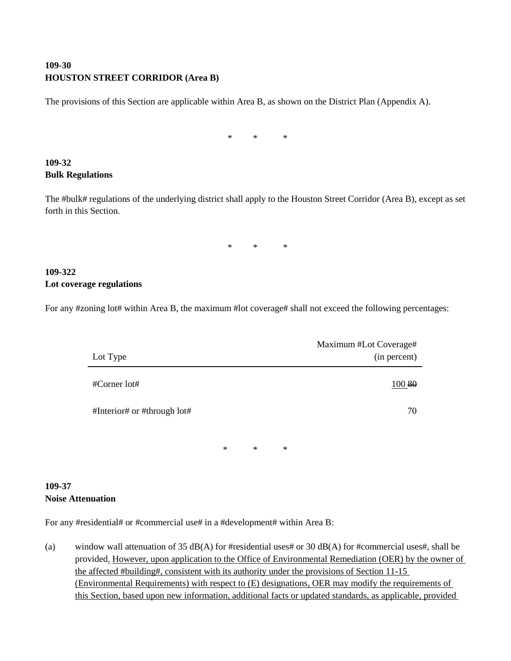## **109-30 HOUSTON STREET CORRIDOR (Area B)**

The provisions of this Section are applicable within Area B, as shown on the District Plan (Appendix A).

\* \* \*

# **109-32 Bulk Regulations**

The #bulk# regulations of the underlying district shall apply to the Houston Street Corridor (Area B), except as set forth in this Section.

\* \* \*

## **109-322 Lot coverage regulations**

For any #zoning lot# within Area B, the maximum #lot coverage# shall not exceed the following percentages:

| Lot Type                    |   |        |   | Maximum #Lot Coverage#<br>(in percent) |
|-----------------------------|---|--------|---|----------------------------------------|
| #Corner lot#                |   |        |   | 100 80                                 |
| #Interior# or #through lot# |   |        |   | 70                                     |
|                             | ∗ | $\ast$ | ∗ |                                        |

#### **109-37 Noise Attenuation**

For any #residential# or #commercial use# in a #development# within Area B:

(a) window wall attenuation of 35 dB(A) for #residential uses# or 30 dB(A) for #commercial uses#, shall be provided. However, upon application to the Office of Environmental Remediation (OER) by the owner of the affected #building#, consistent with its authority under the provisions of Section 11-15 (Environmental Requirements) with respect to (E) designations, OER may modify the requirements of this Section, based upon new information, additional facts or updated standards, as applicable, provided